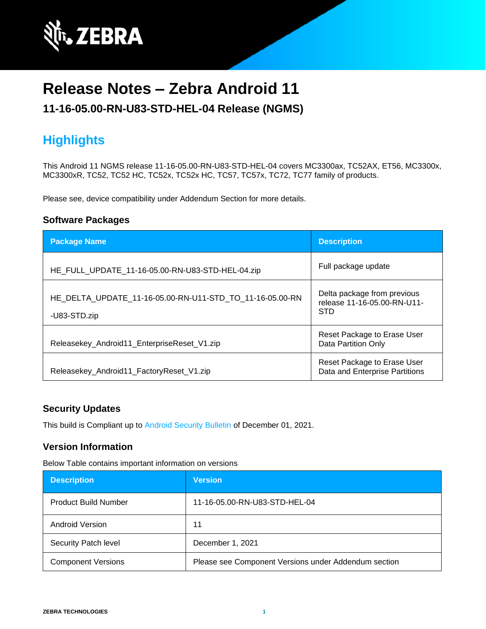

# **Release Notes – Zebra Android 11**

### **11-16-05.00-RN-U83-STD-HEL-04 Release (NGMS)**

## **Highlights**

This Android 11 NGMS release 11-16-05.00-RN-U83-STD-HEL-04 covers MC3300ax, TC52AX, ET56, MC3300x, MC3300xR, TC52, TC52 HC, TC52x, TC52x HC, TC57, TC57x, TC72, TC77 family of products.

Please see, device compatibility under Addendum Section for more details.

#### **Software Packages**

| <b>Package Name</b>                                                      | <b>Description</b>                                                       |
|--------------------------------------------------------------------------|--------------------------------------------------------------------------|
| HE FULL UPDATE 11-16-05.00-RN-U83-STD-HEL-04.zip                         | Full package update                                                      |
| HE DELTA UPDATE 11-16-05.00-RN-U11-STD TO 11-16-05.00-RN<br>-U83-STD.zip | Delta package from previous<br>release 11-16-05.00-RN-U11-<br><b>STD</b> |
| Releasekey_Android11_EnterpriseReset_V1.zip                              | Reset Package to Erase User<br><b>Data Partition Only</b>                |
| Releasekey_Android11_FactoryReset_V1.zip                                 | Reset Package to Erase User<br>Data and Enterprise Partitions            |

#### **Security Updates**

This build is Compliant up to [Android Security Bulletin](https://source.android.com/security/bulletin/) of December 01, 2021.

#### **Version Information**

Below Table contains important information on versions

| <b>Description</b>          | <b>Version</b>                                       |
|-----------------------------|------------------------------------------------------|
| <b>Product Build Number</b> | 11-16-05.00-RN-U83-STD-HEL-04                        |
| Android Version             | 11                                                   |
| Security Patch level        | December 1, 2021                                     |
| <b>Component Versions</b>   | Please see Component Versions under Addendum section |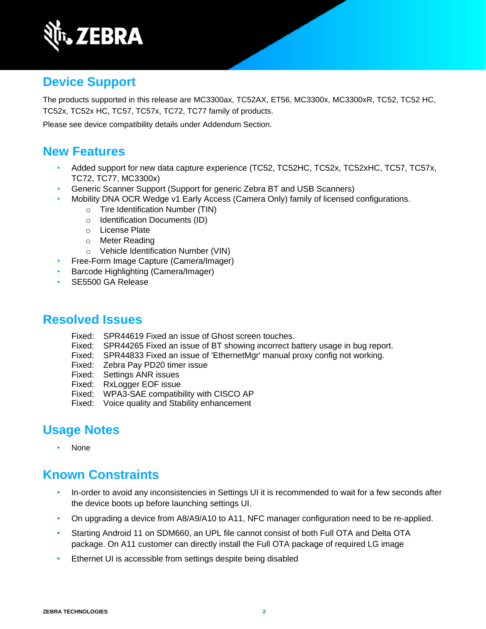

## **Device Support**

The products supported in this release are MC3300ax, TC52AX, ET56, MC3300x, MC3300xR, TC52, TC52 HC, TC52x, TC52x HC, TC57, TC57x, TC72, TC77 family of products.

Please see device compatibility details under Addendum Section.

### **New Features**

- Added support for new data capture experience (TC52, TC52HC, TC52x, TC52xHC, TC57, TC57x, TC72, TC77, MC3300x)
- Generic Scanner Support (Support for generic Zebra BT and USB Scanners)
- Mobility DNA OCR Wedge v1 Early Access (Camera Only) family of licensed configurations.
	- o Tire Identification Number (TIN)
	- o Identification Documents (ID)
	- o License Plate
	- o Meter Reading
	- o Vehicle Identification Number (VIN)
- Free-Form Image Capture (Camera/Imager)
- Barcode Highlighting (Camera/Imager)
- SE5500 GA Release

### **Resolved Issues**

- Fixed: SPR44619 Fixed an issue of Ghost screen touches.
- Fixed: SPR44265 Fixed an issue of BT showing incorrect battery usage in bug report.
- Fixed: SPR44833 Fixed an issue of 'EthernetMgr' manual proxy config not working.
- Fixed: Zebra Pay PD20 timer issue
- Fixed: Settings ANR issues
- Fixed: RxLogger EOF issue
- Fixed: WPA3-SAE compatibility with CISCO AP
- Fixed: Voice quality and Stability enhancement

## **Usage Notes**

• None

## **Known Constraints**

- In-order to avoid any inconsistencies in Settings UI it is recommended to wait for a few seconds after the device boots up before launching settings UI.
- On upgrading a device from A8/A9/A10 to A11, NFC manager configuration need to be re-applied.
- Starting Android 11 on SDM660, an UPL file cannot consist of both Full OTA and Delta OTA package. On A11 customer can directly install the Full OTA package of required LG image
- Ethernet UI is accessible from settings despite being disabled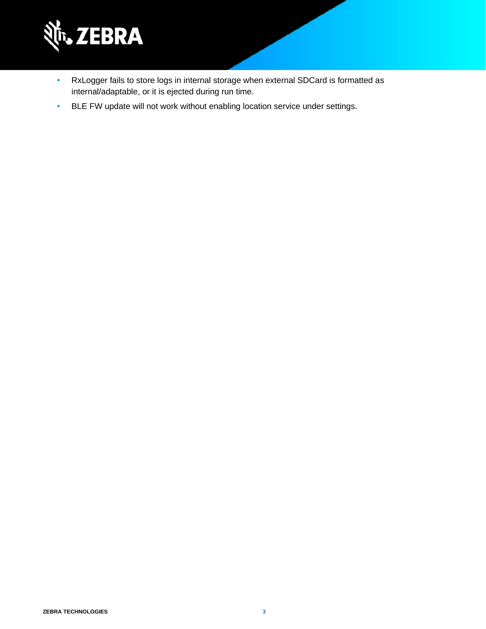

- RxLogger fails to store logs in internal storage when external SDCard is formatted as internal/adaptable, or it is ejected during run time.
- BLE FW update will not work without enabling location service under settings.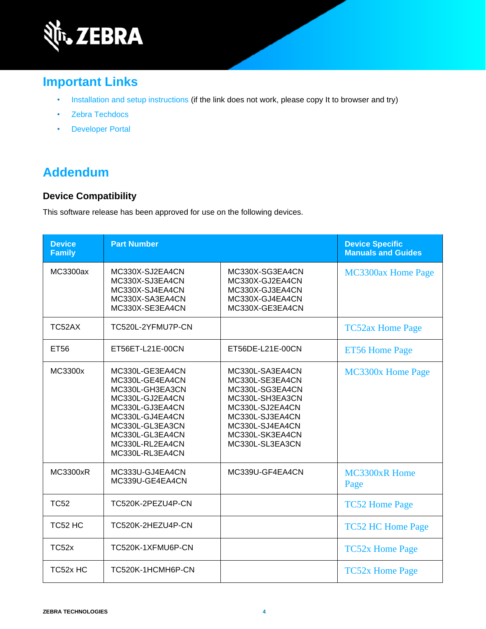

## **Important Links**

- [Installation and setup instructions](https://www.zebra.com/content/dam/zebra_new_ia/en-us/software/operating-system/helios/A11-os-update-instructions.pdf) (if the link does not work, please copy It to browser and try)
- [Zebra Techdocs](http://techdocs.zebra.com/)
- [Developer Portal](http://developer.zebra.com/)

## **Addendum**

#### **Device Compatibility**

This software release has been approved for use on the following devices.

| <b>Device</b><br><b>Family</b> | <b>Part Number</b>                                                                                                                                                                         |                                                                                                                                                                         | <b>Device Specific</b><br><b>Manuals and Guides</b> |
|--------------------------------|--------------------------------------------------------------------------------------------------------------------------------------------------------------------------------------------|-------------------------------------------------------------------------------------------------------------------------------------------------------------------------|-----------------------------------------------------|
| MC3300ax                       | MC330X-SJ2EA4CN<br>MC330X-SJ3EA4CN<br>MC330X-SJ4EA4CN<br>MC330X-SA3EA4CN<br>MC330X-SE3EA4CN                                                                                                | MC330X-SG3EA4CN<br>MC330X-GJ2EA4CN<br>MC330X-GJ3EA4CN<br>MC330X-GJ4EA4CN<br>MC330X-GE3EA4CN                                                                             | MC3300ax Home Page                                  |
| TC52AX                         | TC520L-2YFMU7P-CN                                                                                                                                                                          |                                                                                                                                                                         | <b>TC52ax Home Page</b>                             |
| <b>ET56</b>                    | ET56ET-L21E-00CN                                                                                                                                                                           | ET56DE-L21E-00CN                                                                                                                                                        | <b>ET56 Home Page</b>                               |
| MC3300x                        | MC330L-GE3EA4CN<br>MC330L-GE4EA4CN<br>MC330L-GH3EA3CN<br>MC330L-GJ2EA4CN<br>MC330L-GJ3EA4CN<br>MC330L-GJ4EA4CN<br>MC330L-GL3EA3CN<br>MC330L-GL3EA4CN<br>MC330L-RL2EA4CN<br>MC330L-RL3EA4CN | MC330L-SA3EA4CN<br>MC330L-SE3EA4CN<br>MC330L-SG3EA4CN<br>MC330L-SH3EA3CN<br>MC330L-SJ2EA4CN<br>MC330L-SJ3EA4CN<br>MC330L-SJ4EA4CN<br>MC330L-SK3EA4CN<br>MC330L-SL3EA3CN | MC3300x Home Page                                   |
| <b>MC3300xR</b>                | MC333U-GJ4EA4CN<br>MC339U-GE4EA4CN                                                                                                                                                         | MC339U-GF4EA4CN                                                                                                                                                         | MC3300xR Home<br>Page                               |
| <b>TC52</b>                    | TC520K-2PEZU4P-CN                                                                                                                                                                          |                                                                                                                                                                         | <b>TC52 Home Page</b>                               |
| TC52 HC                        | TC520K-2HEZU4P-CN                                                                                                                                                                          |                                                                                                                                                                         | <b>TC52 HC Home Page</b>                            |
| TC <sub>52</sub> x             | TC520K-1XFMU6P-CN                                                                                                                                                                          |                                                                                                                                                                         | <b>TC52x Home Page</b>                              |
| TC52x HC                       | TC520K-1HCMH6P-CN                                                                                                                                                                          |                                                                                                                                                                         | <b>TC52x Home Page</b>                              |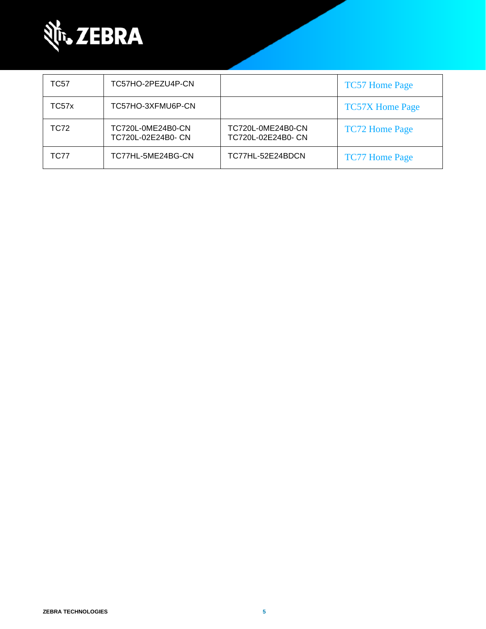

| TC57  | TC57HO-2PEZU4P-CN                       |                                         | <b>TC57 Home Page</b>  |
|-------|-----------------------------------------|-----------------------------------------|------------------------|
| TC57x | TC57HO-3XFMU6P-CN                       |                                         | <b>TC57X Home Page</b> |
| TC72  | TC720L-0ME24B0-CN<br>TC720L-02E24B0- CN | TC720L-0ME24B0-CN<br>TC720L-02E24B0- CN | <b>TC72 Home Page</b>  |
| TC77  | TC77HL-5ME24BG-CN                       | TC77HL-52E24BDCN                        | <b>TC77 Home Page</b>  |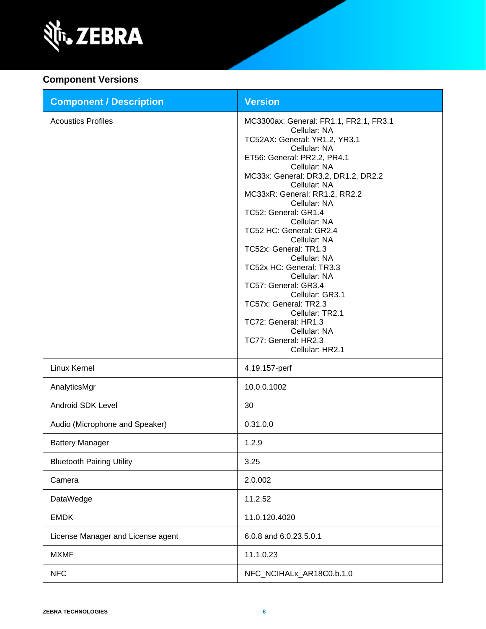

#### **Component Versions**

| <b>Component / Description</b>    | <b>Version</b>                                                                                                                                                                                                                                                                                                                                                                                                                                                                                                                                                                                                   |
|-----------------------------------|------------------------------------------------------------------------------------------------------------------------------------------------------------------------------------------------------------------------------------------------------------------------------------------------------------------------------------------------------------------------------------------------------------------------------------------------------------------------------------------------------------------------------------------------------------------------------------------------------------------|
| <b>Acoustics Profiles</b>         | MC3300ax: General: FR1.1, FR2.1, FR3.1<br>Cellular: NA<br>TC52AX: General: YR1.2, YR3.1<br>Cellular: NA<br>ET56: General: PR2.2, PR4.1<br>Cellular: NA<br>MC33x: General: DR3.2, DR1.2, DR2.2<br>Cellular: NA<br>MC33xR: General: RR1.2, RR2.2<br>Cellular: NA<br>TC52: General: GR1.4<br>Cellular: NA<br>TC52 HC: General: GR2.4<br>Cellular: NA<br>TC52x: General: TR1.3<br>Cellular: NA<br>TC52x HC: General: TR3.3<br>Cellular: NA<br>TC57: General: GR3.4<br>Cellular: GR3.1<br>TC57x: General: TR2.3<br>Cellular: TR2.1<br>TC72: General: HR1.3<br>Cellular: NA<br>TC77: General: HR2.3<br>Cellular: HR2.1 |
| Linux Kernel                      | 4.19.157-perf                                                                                                                                                                                                                                                                                                                                                                                                                                                                                                                                                                                                    |
| AnalyticsMgr                      | 10.0.0.1002                                                                                                                                                                                                                                                                                                                                                                                                                                                                                                                                                                                                      |
| Android SDK Level                 | 30                                                                                                                                                                                                                                                                                                                                                                                                                                                                                                                                                                                                               |
| Audio (Microphone and Speaker)    | 0.31.0.0                                                                                                                                                                                                                                                                                                                                                                                                                                                                                                                                                                                                         |
| <b>Battery Manager</b>            | 1.2.9                                                                                                                                                                                                                                                                                                                                                                                                                                                                                                                                                                                                            |
| <b>Bluetooth Pairing Utility</b>  | 3.25                                                                                                                                                                                                                                                                                                                                                                                                                                                                                                                                                                                                             |
| Camera                            | 2.0.002                                                                                                                                                                                                                                                                                                                                                                                                                                                                                                                                                                                                          |
| DataWedge                         | 11.2.52                                                                                                                                                                                                                                                                                                                                                                                                                                                                                                                                                                                                          |
| <b>EMDK</b>                       | 11.0.120.4020                                                                                                                                                                                                                                                                                                                                                                                                                                                                                                                                                                                                    |
| License Manager and License agent | 6.0.8 and 6.0.23.5.0.1                                                                                                                                                                                                                                                                                                                                                                                                                                                                                                                                                                                           |
| <b>MXMF</b>                       | 11.1.0.23                                                                                                                                                                                                                                                                                                                                                                                                                                                                                                                                                                                                        |
| <b>NFC</b>                        | NFC_NCIHALx_AR18C0.b.1.0                                                                                                                                                                                                                                                                                                                                                                                                                                                                                                                                                                                         |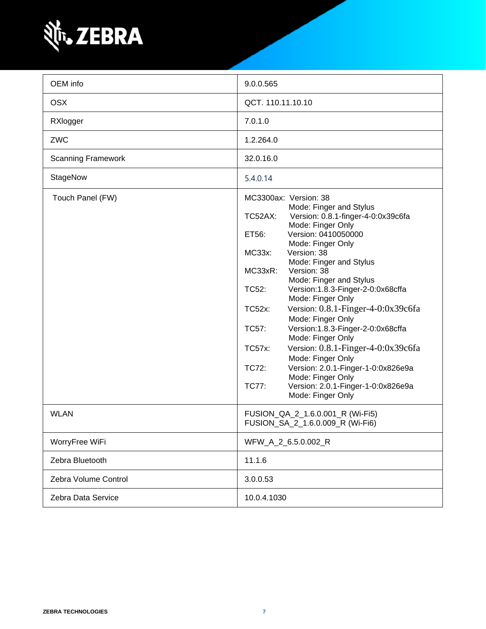

| OEM info                  | 9.0.0.565                                                                                                                                                                                                                                                                                                                                                                                                                                                                                                                                                                                                                                                                                                                  |  |
|---------------------------|----------------------------------------------------------------------------------------------------------------------------------------------------------------------------------------------------------------------------------------------------------------------------------------------------------------------------------------------------------------------------------------------------------------------------------------------------------------------------------------------------------------------------------------------------------------------------------------------------------------------------------------------------------------------------------------------------------------------------|--|
| <b>OSX</b>                | QCT. 110.11.10.10                                                                                                                                                                                                                                                                                                                                                                                                                                                                                                                                                                                                                                                                                                          |  |
| RXlogger                  | 7.0.1.0                                                                                                                                                                                                                                                                                                                                                                                                                                                                                                                                                                                                                                                                                                                    |  |
| ZWC                       | 1.2.264.0                                                                                                                                                                                                                                                                                                                                                                                                                                                                                                                                                                                                                                                                                                                  |  |
| <b>Scanning Framework</b> | 32.0.16.0                                                                                                                                                                                                                                                                                                                                                                                                                                                                                                                                                                                                                                                                                                                  |  |
| StageNow                  | 5.4.0.14                                                                                                                                                                                                                                                                                                                                                                                                                                                                                                                                                                                                                                                                                                                   |  |
| Touch Panel (FW)          | MC3300ax: Version: 38<br>Mode: Finger and Stylus<br>Version: 0.8.1-finger-4-0:0x39c6fa<br>TC52AX:<br>Mode: Finger Only<br>Version: 0410050000<br>ET56:<br>Mode: Finger Only<br>Version: 38<br>MC33x:<br>Mode: Finger and Stylus<br>Version: 38<br>MC33xR:<br>Mode: Finger and Stylus<br>Version:1.8.3-Finger-2-0:0x68cffa<br>TC52:<br>Mode: Finger Only<br>Version: 0.8.1-Finger-4-0:0x39c6fa<br><b>TC52x:</b><br>Mode: Finger Only<br>Version:1.8.3-Finger-2-0:0x68cffa<br>TC57:<br>Mode: Finger Only<br>Version: 0.8.1-Finger-4-0:0x39c6fa<br><b>TC57x:</b><br>Mode: Finger Only<br>Version: 2.0.1-Finger-1-0:0x826e9a<br>TC72:<br>Mode: Finger Only<br>TC77:<br>Version: 2.0.1-Finger-1-0:0x826e9a<br>Mode: Finger Only |  |
| <b>WLAN</b>               | FUSION_QA_2_1.6.0.001_R (Wi-Fi5)<br>FUSION_SA_2_1.6.0.009_R (Wi-Fi6)                                                                                                                                                                                                                                                                                                                                                                                                                                                                                                                                                                                                                                                       |  |
| WorryFree WiFi            | WFW_A_2_6.5.0.002_R                                                                                                                                                                                                                                                                                                                                                                                                                                                                                                                                                                                                                                                                                                        |  |
| Zebra Bluetooth           | 11.1.6                                                                                                                                                                                                                                                                                                                                                                                                                                                                                                                                                                                                                                                                                                                     |  |
| Zebra Volume Control      | 3.0.0.53                                                                                                                                                                                                                                                                                                                                                                                                                                                                                                                                                                                                                                                                                                                   |  |
| Zebra Data Service        | 10.0.4.1030                                                                                                                                                                                                                                                                                                                                                                                                                                                                                                                                                                                                                                                                                                                |  |